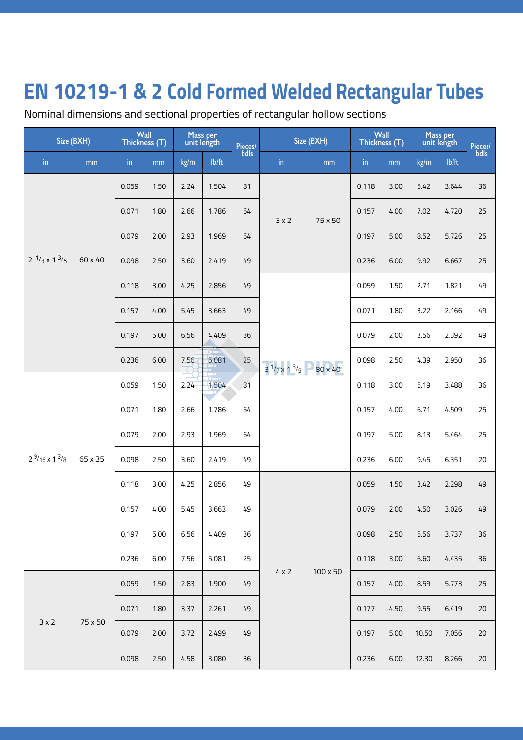Nominal dimensions and sectional properties of rectangular hollow sections

| Size (BXH)                          |         | Wall<br>Mass per<br>unit length<br>Thickness (T) |      | Pieces/ | Size (BXH) |      | Wall<br>Thickness (T)    |          | Mass per<br>unit length |      | Pieces/<br>bdls |       |    |
|-------------------------------------|---------|--------------------------------------------------|------|---------|------------|------|--------------------------|----------|-------------------------|------|-----------------|-------|----|
| in                                  | mm      | in                                               | mm   | kg/m    | Ib/ft      | bdls | $\mathop{\text{in}}$     | mm       | in                      | mm   | kg/m            | lb/ft |    |
|                                     |         | 0.059                                            | 1.50 | 2.24    | 1.504      | 81   |                          |          | 0.118                   | 3.00 | 5.42            | 3.644 | 36 |
|                                     |         | 0.071                                            | 1.80 | 2.66    | 1.786      | 64   | 3x2                      | 75 x 50  | 0.157                   | 4.00 | 7.02            | 4.720 | 25 |
|                                     |         | 0.079                                            | 2.00 | 2.93    | 1.969      | 64   |                          |          | 0.197                   | 5.00 | 8.52            | 5.726 | 25 |
| $2^{1/3} \times 1^{3/5}$            | 60 x 40 | 0.098                                            | 2.50 | 3.60    | 2.419      | 49   |                          |          | 0.236                   | 6.00 | 9.92            | 6.667 | 25 |
|                                     |         | 0.118                                            | 3.00 | 4.25    | 2.856      | 49   |                          |          | 0.059                   | 1.50 | 2.71            | 1.821 | 49 |
|                                     |         | 0.157                                            | 4.00 | 5.45    | 3.663      | 49   | $3^{1/7} \times 1^{3/5}$ |          | 0.071                   | 1.80 | 3.22            | 2.166 | 49 |
|                                     |         | 0.197                                            | 5.00 | 6.56    | 4.409      | 36   |                          | 80 x 40  | 0.079                   | 2.00 | 3.56            | 2.392 | 49 |
|                                     |         | 0.236                                            | 6.00 | 7.56    | 5.081      | 25   |                          |          | 0.098                   | 2.50 | 4.39            | 2.950 | 36 |
|                                     |         | 0.059                                            | 1.50 | 2.24    | 1.504      | 81   |                          |          | 0.118                   | 3.00 | 5.19            | 3.488 | 36 |
|                                     | 65 x 35 | 0.071                                            | 1.80 | 2.66    | 1.786      | 64   |                          |          | 0.157                   | 4.00 | 6.71            | 4.509 | 25 |
|                                     |         | 0.079                                            | 2.00 | 2.93    | 1.969      | 64   |                          |          | 0.197                   | 5.00 | 8.13            | 5.464 | 25 |
| $2\frac{9}{16} \times 1\frac{3}{8}$ |         | 0.098                                            | 2.50 | 3.60    | 2.419      | 49   |                          |          | 0.236                   | 6.00 | 9.45            | 6.351 | 20 |
|                                     |         | 0.118                                            | 3.00 | 4.25    | 2.856      | 49   |                          |          | 0.059                   | 1.50 | 3.42            | 2.298 | 49 |
|                                     |         | 0.157                                            | 4.00 | 5.45    | 3.663      | 49   |                          |          | 0.079                   | 2.00 | 4.50            | 3.026 | 49 |
|                                     |         | 0.197                                            | 5.00 | 6.56    | 4.409      | 36   |                          |          | 0.098                   | 2.50 | 5.56            | 3.737 | 36 |
|                                     |         | 0.236                                            | 6.00 | 7.56    | 5.081      | 25   |                          |          | 0.118                   | 3.00 | 6.60            | 4.435 | 36 |
|                                     |         | 0.059                                            | 1.50 | 2.83    | 1.900      | 49   | $4 \times 2$             | 100 x 50 | 0.157                   | 4.00 | 8.59            | 5.773 | 25 |
|                                     |         | 0.071                                            | 1.80 | 3.37    | 2.261      | 49   |                          |          | 0.177                   | 4.50 | 9.55            | 6.419 | 20 |
| 3x2                                 | 75 x 50 | 0.079                                            | 2.00 | 3.72    | 2.499      | 49   |                          |          | 0.197                   | 5.00 | 10.50           | 7.056 | 20 |
|                                     |         | 0.098                                            | 2.50 | 4.58    | 3.080      | 36   |                          |          | 0.236                   | 6.00 | 12.30           | 8.266 | 20 |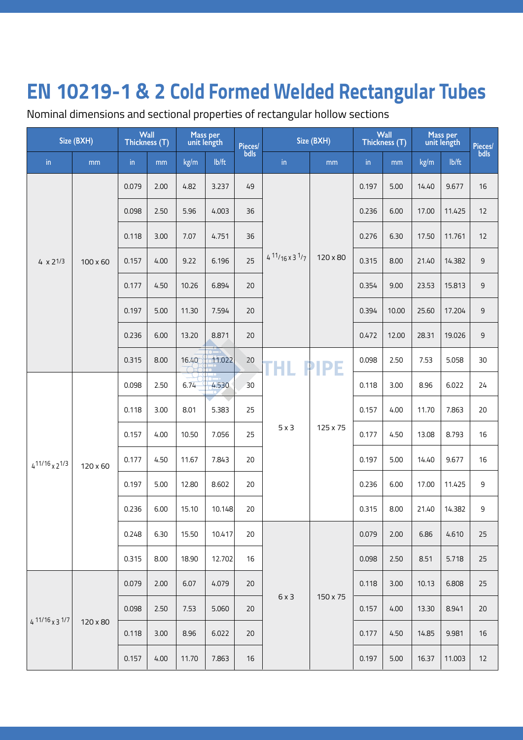Nominal dimensions and sectional properties of rectangular hollow sections

| Size (BXH)             |                 | Wall<br>Mass per<br>unit length<br>Thickness (T) |      |       | Pieces/<br>bdls | Size (BXH) |                            | Wall<br>Thickness (T) |       | Mass per<br>unit length |       | Pieces/ |             |
|------------------------|-----------------|--------------------------------------------------|------|-------|-----------------|------------|----------------------------|-----------------------|-------|-------------------------|-------|---------|-------------|
| in                     | mm              | in                                               | mm   | kg/m  | lb/ft           |            | in                         | mm                    | in    | mm                      | kg/m  | lb/ft   | bdls        |
| 4 x 21/3               |                 | 0.079                                            | 2.00 | 4.82  | 3.237           | 49         |                            |                       | 0.197 | 5.00                    | 14.40 | 9.677   | 16          |
|                        |                 | 0.098                                            | 2.50 | 5.96  | 4.003           | 36         |                            |                       | 0.236 | 6.00                    | 17.00 | 11.425  | 12          |
|                        |                 | 0.118                                            | 3.00 | 7.07  | 4.751           | 36         |                            | 120 x 80              | 0.276 | 6.30                    | 17.50 | 11.761  | 12          |
|                        | $100 \times 60$ | 0.157                                            | 4.00 | 9.22  | 6.196           | 25         | $4^{11}/16 \times 3^{1}/7$ |                       | 0.315 | 8.00                    | 21.40 | 14.382  | 9           |
|                        |                 | 0.177                                            | 4.50 | 10.26 | 6.894           | 20         |                            |                       | 0.354 | 9.00                    | 23.53 | 15.813  | 9           |
|                        |                 | 0.197                                            | 5.00 | 11.30 | 7.594           | 20         |                            |                       | 0.394 | 10.00                   | 25.60 | 17.204  | $\mathsf 9$ |
|                        |                 | 0.236                                            | 6.00 | 13.20 | 8.871           | 20         |                            |                       | 0.472 | 12.00                   | 28.31 | 19.026  | 9           |
|                        |                 | 0.315                                            | 8.00 | 16.40 | $-11.022$       | 20         | THL PIPE                   |                       | 0.098 | 2.50                    | 7.53  | 5.058   | 30          |
|                        |                 | 0.098                                            | 2.50 | 6.74  | 4.530           | 30         | 5x3                        | 125 x 75              | 0.118 | 3.00                    | 8.96  | 6.022   | 24          |
|                        | 120 x 60        | 0.118                                            | 3.00 | 8.01  | 5.383           | 25         |                            |                       | 0.157 | 4.00                    | 11.70 | 7.863   | 20          |
|                        |                 | 0.157                                            | 4.00 | 10.50 | 7.056           | 25         |                            |                       | 0.177 | 4.50                    | 13.08 | 8.793   | 16          |
| $411/16$ x 21/3        |                 | 0.177                                            | 4.50 | 11.67 | 7.843           | 20         |                            |                       | 0.197 | 5.00                    | 14.40 | 9.677   | 16          |
|                        |                 | 0.197                                            | 5.00 | 12.80 | 8.602           | 20         |                            |                       | 0.236 | 6.00                    | 17.00 | 11.425  | 9           |
|                        |                 | 0.236                                            | 6.00 | 15.10 | 10.148          | 20         |                            |                       | 0.315 | 8.00                    | 21.40 | 14.382  | 9           |
|                        |                 | 0.248                                            | 6.30 | 15.50 | 10.417          | 20         |                            |                       | 0.079 | 2.00                    | 6.86  | 4.610   | 25          |
|                        |                 | 0.315                                            | 8.00 | 18.90 | 12.702          | 16         |                            |                       | 0.098 | 2.50                    | 8.51  | 5.718   | 25          |
|                        |                 | 0.079                                            | 2.00 | 6.07  | 4.079           | 20         |                            |                       | 0.118 | 3.00                    | 10.13 | 6.808   | 25          |
| $411/16$ $\times 31/7$ |                 | 0.098                                            | 2.50 | 7.53  | 5.060           | 20         | 6x3                        | 150 x 75              | 0.157 | 4.00                    | 13.30 | 8.941   | $20\,$      |
|                        | 120 x 80        | 0.118                                            | 3.00 | 8.96  | 6.022           | 20         |                            |                       | 0.177 | 4.50                    | 14.85 | 9.981   | 16          |
|                        |                 | 0.157                                            | 4.00 | 11.70 | 7.863           | 16         |                            |                       | 0.197 | 5.00                    | 16.37 | 11.003  | 12          |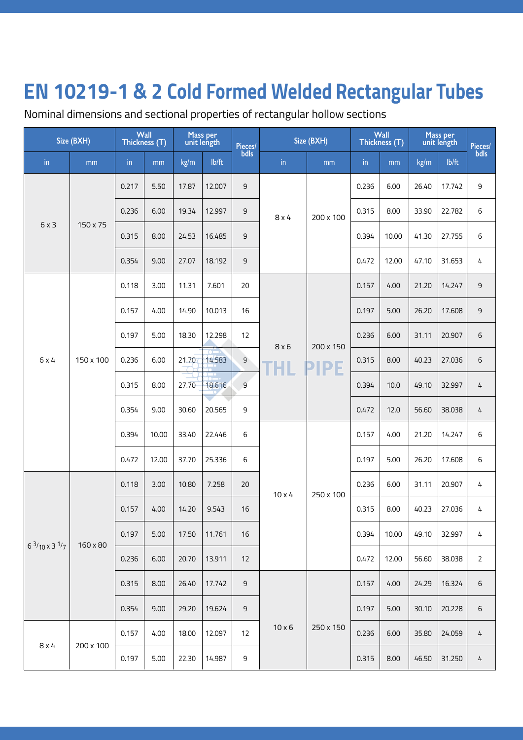Nominal dimensions and sectional properties of rectangular hollow sections

| Size (BXH)                |           | Thickness (T) | Wall  | Mass per<br>unit length |        | <b>Pieces</b> / | Size (BXH)    |             | Wall<br>Thickness (T) |       | Mass per<br>unit length |        | Pieces/        |
|---------------------------|-----------|---------------|-------|-------------------------|--------|-----------------|---------------|-------------|-----------------------|-------|-------------------------|--------|----------------|
| in                        | mm        | in            | mm    | kg/m                    | lb/ft  | bdls            | in            | mm          | in                    | mm    | kg/m                    | lb/ft  | bdls           |
|                           |           | 0.217         | 5.50  | 17.87                   | 12.007 | $\mathsf 9$     |               |             | 0.236                 | 6.00  | 26.40                   | 17.742 | 9              |
|                           |           | 0.236         | 6.00  | 19.34                   | 12.997 | 9               | $8 \times 4$  | 200 x 100   | 0.315                 | 8.00  | 33.90                   | 22.782 | 6              |
| 6x3                       | 150 x 75  | 0.315         | 8.00  | 24.53                   | 16.485 | 9               |               |             | 0.394                 | 10.00 | 41.30                   | 27.755 | 6              |
|                           |           | 0.354         | 9.00  | 27.07                   | 18.192 | 9               |               |             | 0.472                 | 12.00 | 47.10                   | 31.653 | 4              |
|                           |           | 0.118         | 3.00  | 11.31                   | 7.601  | 20              |               |             | 0.157                 | 4.00  | 21.20                   | 14.247 | 9              |
| 6 x 4                     |           | 0.157         | 4.00  | 14.90                   | 10.013 | 16              |               |             | 0.197                 | 5.00  | 26.20                   | 17.608 | $\mathsf 9$    |
|                           |           | 0.197         | 5.00  | 18.30                   | 12.298 | 12              | 8x6<br>THL    | 200 x 150   | 0.236                 | 6.00  | 31.11                   | 20.907 | 6              |
|                           | 150 x 100 | 0.236         | 6.00  | 21.70                   | 14.583 | $\mathsf 9$     |               | <b>PIPE</b> | 0.315                 | 8.00  | 40.23                   | 27.036 | 6              |
|                           |           | 0.315         | 8.00  | 27.70                   | 18.616 | $\overline{9}$  |               |             | 0.394                 | 10.0  | 49.10                   | 32.997 | 4              |
|                           |           | 0.354         | 9.00  | 30.60                   | 20.565 | 9               |               |             | 0.472                 | 12.0  | 56.60                   | 38.038 | 4              |
|                           |           | 0.394         | 10.00 | 33.40                   | 22.446 | 6               |               | 250 x 100   | 0.157                 | 4.00  | 21.20                   | 14.247 | 6              |
|                           |           | 0.472         | 12.00 | 37.70                   | 25.336 | 6               |               |             | 0.197                 | 5.00  | 26.20                   | 17.608 | 6              |
|                           |           | 0.118         | 3.00  | 10.80                   | 7.258  | 20              | $10 \times 4$ |             | 0.236                 | 6.00  | 31.11                   | 20.907 | 4              |
|                           |           | 0.157         | 4.00  | 14.20                   | 9.543  | 16              |               |             | 0.315                 | 8.00  | 40.23                   | 27.036 | 4              |
| $6^{3}/10 \times 3^{1}/7$ | 160 x 80  | 0.197         | 5.00  | 17.50                   | 11.761 | 16              |               |             | 0.394                 | 10.00 | 49.10                   | 32.997 | 4              |
|                           |           | 0.236         | 6.00  | 20.70                   | 13.911 | 12              |               |             | 0.472                 | 12.00 | 56.60                   | 38.038 | $\overline{2}$ |
|                           |           | 0.315         | 8.00  | 26.40                   | 17.742 | 9               |               |             | 0.157                 | 4.00  | 24.29                   | 16.324 | $\,$ 6 $\,$    |
|                           |           | 0.354         | 9.00  | 29.20                   | 19.624 | 9               |               |             | 0.197                 | 5.00  | 30.10                   | 20.228 | $\,$ 6         |
|                           |           | 0.157         | 4.00  | 18.00                   | 12.097 | 12              | $10 \times 6$ | 250 x 150   | 0.236                 | 6.00  | 35.80                   | 24.059 | 4              |
| $8\times4$                | 200 x 100 | 0.197         | 5.00  | 22.30                   | 14.987 | 9               |               |             | 0.315                 | 8.00  | 46.50                   | 31.250 | 4              |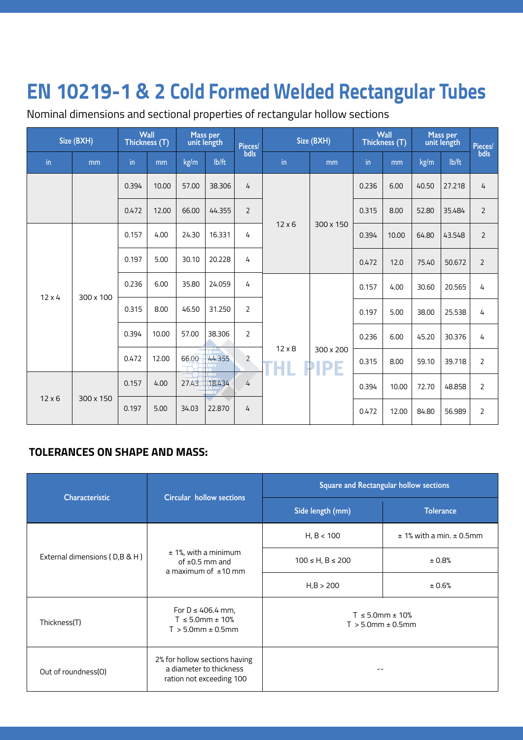Nominal dimensions and sectional properties of rectangular hollow sections

| Size (BXH)    |           |       | Wall<br>Mass per<br>unit length<br>Thickness (T) |       | Pieces/ |                | Size (BXH)    | Wall<br>Thickness (T)   |       | Mass per<br>unit length |       | Pieces/ |                |
|---------------|-----------|-------|--------------------------------------------------|-------|---------|----------------|---------------|-------------------------|-------|-------------------------|-------|---------|----------------|
| $\mathsf{in}$ | mm        | in    | mm                                               | kg/m  | lb/ft   | bdls           | in            | mm                      | in    | mm                      | kg/m  | lb/ft   | bdls           |
|               |           | 0.394 | 10.00                                            | 57.00 | 38.306  | 4              | $12\times 6$  | 300 x 150               | 0.236 | 6.00                    | 40.50 | 27.218  | 4              |
|               |           | 0.472 | 12.00                                            | 66.00 | 44.355  | $\overline{2}$ |               |                         | 0.315 | 8.00                    | 52.80 | 35.484  | $\overline{2}$ |
|               |           | 0.157 | 4.00                                             | 24.30 | 16.331  | 4              |               |                         | 0.394 | 10.00                   | 64.80 | 43.548  | $\overline{2}$ |
|               | 300 x 100 | 0.197 | 5.00                                             | 30.10 | 20.228  | 4              |               |                         | 0.472 | 12.0                    | 75.40 | 50.672  | $\overline{2}$ |
| $12 \times 4$ |           | 0.236 | 6.00                                             | 35.80 | 24.059  | 4              |               | 300 x 200<br><b>IPE</b> | 0.157 | 4.00                    | 30.60 | 20.565  | 4              |
|               |           | 0.315 | 8.00                                             | 46.50 | 31.250  | $\overline{2}$ |               |                         | 0.197 | 5.00                    | 38.00 | 25.538  | 4              |
|               |           | 0.394 | 10.00                                            | 57.00 | 38,306  | $\overline{2}$ |               |                         | 0.236 | 6.00                    | 45.20 | 30.376  | 4              |
|               |           | 0.472 | 12.00                                            | 66.00 | 44.355  | $\overline{2}$ | $12 \times 8$ |                         | 0.315 | 8.00                    | 59.10 | 39.718  | $\overline{2}$ |
| $12 \times 6$ | 300 x 150 | 0.157 | 4.00                                             | 27.43 | 18.434  | $\overline{4}$ |               |                         | 0.394 | 10.00                   | 72.70 | 48.858  | $\overline{2}$ |
|               |           | 0.197 | 5.00                                             | 34.03 | 22.870  | 4              |               |                         | 0.472 | 12.00                   | 84.80 | 56.989  | $\overline{2}$ |

#### **TOLERANCES ON SHAPE AND MASS:**

| Characteristic                | <b>Circular hollow sections</b>                                                      | Square and Rectangular hollow sections           |                               |  |  |  |
|-------------------------------|--------------------------------------------------------------------------------------|--------------------------------------------------|-------------------------------|--|--|--|
|                               |                                                                                      | Side length (mm)                                 | <b>Tolerance</b>              |  |  |  |
|                               |                                                                                      | H, B < 100                                       | $± 1%$ with a min. $± 0.5$ mm |  |  |  |
| External dimensions (D,B & H) | $± 1%$ , with a minimum<br>of $\pm 0.5$ mm and<br>a maximum of $±10$ mm              | $100 \le H, B \le 200$                           | ± 0.8%                        |  |  |  |
|                               |                                                                                      | H,B > 200                                        | ± 0.6%                        |  |  |  |
| Thickness(T)                  | For $D \leq 406.4$ mm,<br>$T \le 5.0$ mm ± 10%<br>$T > 5.0$ mm $\pm$ 0.5mm           | $T \le 5.0$ mm ± 10%<br>$T > 5.0$ mm $\pm$ 0.5mm |                               |  |  |  |
| Out of roundness(O)           | 2% for hollow sections having<br>a diameter to thickness<br>ration not exceeding 100 |                                                  |                               |  |  |  |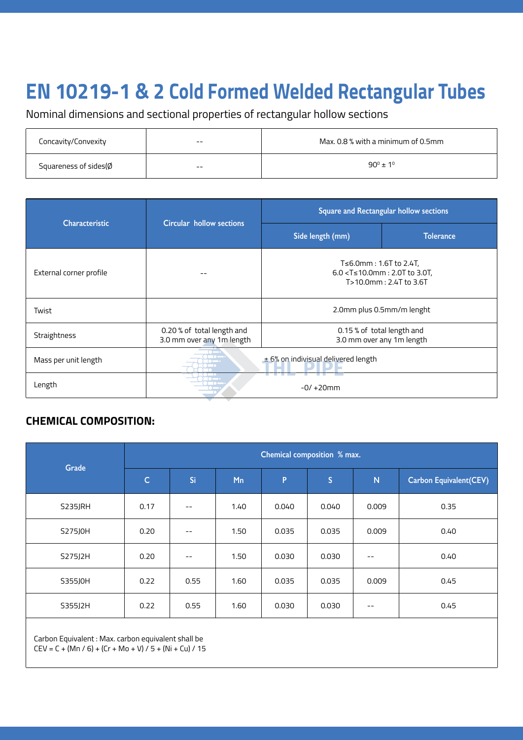Nominal dimensions and sectional properties of rectangular hollow sections

| Concavity/Convexity              | $- -$ | Max, 0.8 % with a minimum of 0.5mm |
|----------------------------------|-------|------------------------------------|
| Squareness of sides( $\emptyset$ | $- -$ | $90^{\circ}$ ± 1 <sup>°</sup>      |

| Characteristic          | Circular hollow sections                                | <b>Square and Rectangular hollow sections</b>                                                                |                  |  |  |  |  |
|-------------------------|---------------------------------------------------------|--------------------------------------------------------------------------------------------------------------|------------------|--|--|--|--|
|                         |                                                         | Side length (mm)                                                                                             | <b>Tolerance</b> |  |  |  |  |
| External corner profile |                                                         | T≤6.0mm : 1.6T to 2.4T,<br>6.0 <t≤10.0mm 2.0t="" 3.0t,<br="" :="" to="">T&gt;10.0mm: 2.4T to 3.6T</t≤10.0mm> |                  |  |  |  |  |
| Twist                   | 2.0mm plus 0.5mm/m lenght                               |                                                                                                              |                  |  |  |  |  |
| Straightness            | 0.20 % of total length and<br>3.0 mm over any 1m length | 0.15 % of total length and<br>3.0 mm over any 1m length                                                      |                  |  |  |  |  |
| Mass per unit length    |                                                         | ± 6% on indivisual delivered length                                                                          |                  |  |  |  |  |
| Length                  |                                                         | $-0/+20$ mm                                                                                                  |                  |  |  |  |  |

### **CHEMICAL COMPOSITION:**

| Grade          | Chemical composition % max. |       |      |       |              |       |                                |  |  |  |
|----------------|-----------------------------|-------|------|-------|--------------|-------|--------------------------------|--|--|--|
|                | $\mathsf C$                 | Si    | Mn   | P     | $\mathsf{S}$ | N     | <b>Carbon Equivalent (CEV)</b> |  |  |  |
| <b>S235JRH</b> | 0.17                        | $- -$ | 1.40 | 0.040 | 0.040        | 0.009 | 0.35                           |  |  |  |
| S275J0H        | 0.20                        | $- -$ | 1.50 | 0.035 | 0.035        | 0.009 | 0.40                           |  |  |  |
| S275J2H        | 0.20                        | $- -$ | 1.50 | 0.030 | 0.030        | $- -$ | 0.40                           |  |  |  |
| S355J0H        | 0.22                        | 0.55  | 1.60 | 0.035 | 0.035        | 0.009 | 0.45                           |  |  |  |
| S355J2H        | 0.22                        | 0.55  | 1.60 | 0.030 | 0.030        | $- -$ | 0.45                           |  |  |  |
|                |                             |       |      |       |              |       |                                |  |  |  |

Carbon Equivalent : Max. carbon equivalent shall be

 $CEV = C + (Mn / 6) + (Cr + Mo + V) / 5 + (Ni + Cu) / 15$